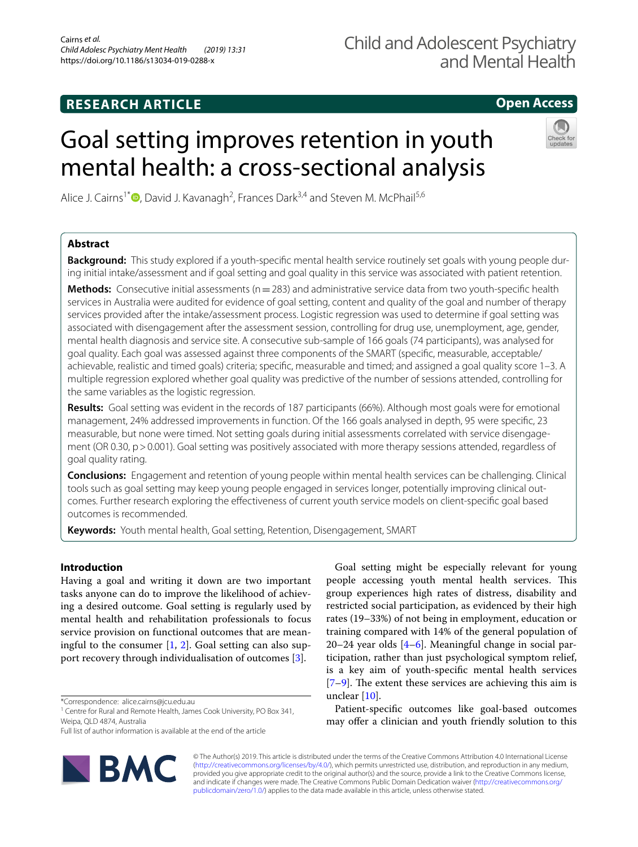# **RESEARCH ARTICLE**

## **Open Access**

# Goal setting improves retention in youth mental health: a cross-sectional analysis



Alice J. Cairns<sup>1\*</sup><sup>®</sup>[,](http://orcid.org/0000-0002-3943-1444) David J. Kavanagh<sup>2</sup>, Frances Dark<sup>3,4</sup> and Steven M. McPhail<sup>5,6</sup>

## **Abstract**

**Background:** This study explored if a youth-specifc mental health service routinely set goals with young people during initial intake/assessment and if goal setting and goal quality in this service was associated with patient retention.

**Methods:** Consecutive initial assessments (n = 283) and administrative service data from two youth-specific health services in Australia were audited for evidence of goal setting, content and quality of the goal and number of therapy services provided after the intake/assessment process. Logistic regression was used to determine if goal setting was associated with disengagement after the assessment session, controlling for drug use, unemployment, age, gender, mental health diagnosis and service site. A consecutive sub-sample of 166 goals (74 participants), was analysed for goal quality. Each goal was assessed against three components of the SMART (specifc, measurable, acceptable/ achievable, realistic and timed goals) criteria; specifc, measurable and timed; and assigned a goal quality score 1–3. A multiple regression explored whether goal quality was predictive of the number of sessions attended, controlling for the same variables as the logistic regression.

**Results:** Goal setting was evident in the records of 187 participants (66%). Although most goals were for emotional management, 24% addressed improvements in function. Of the 166 goals analysed in depth, 95 were specifc, 23 measurable, but none were timed. Not setting goals during initial assessments correlated with service disengagement (OR 0.30, p > 0.001). Goal setting was positively associated with more therapy sessions attended, regardless of goal quality rating.

**Conclusions:** Engagement and retention of young people within mental health services can be challenging. Clinical tools such as goal setting may keep young people engaged in services longer, potentially improving clinical outcomes. Further research exploring the efectiveness of current youth service models on client-specifc goal based outcomes is recommended.

**Keywords:** Youth mental health, Goal setting, Retention, Disengagement, SMART

## **Introduction**

Having a goal and writing it down are two important tasks anyone can do to improve the likelihood of achieving a desired outcome. Goal setting is regularly used by mental health and rehabilitation professionals to focus service provision on functional outcomes that are meaningful to the consumer  $[1, 2]$  $[1, 2]$  $[1, 2]$  $[1, 2]$ . Goal setting can also support recovery through individualisation of outcomes [[3\]](#page-6-2).

\*Correspondence: alice.cairns@jcu.edu.au

Full list of author information is available at the end of the article



Goal setting might be especially relevant for young people accessing youth mental health services. This group experiences high rates of distress, disability and restricted social participation, as evidenced by their high rates (19–33%) of not being in employment, education or training compared with 14% of the general population of 20–24 year olds [\[4–](#page-6-3)[6\]](#page-7-0). Meaningful change in social participation, rather than just psychological symptom relief, is a key aim of youth-specifc mental health services  $[7-9]$  $[7-9]$ . The extent these services are achieving this aim is unclear [[10\]](#page-7-3).

Patient-specifc outcomes like goal-based outcomes may offer a clinician and youth friendly solution to this

© The Author(s) 2019. This article is distributed under the terms of the Creative Commons Attribution 4.0 International License [\(http://creativecommons.org/licenses/by/4.0/\)](http://creativecommons.org/licenses/by/4.0/), which permits unrestricted use, distribution, and reproduction in any medium, provided you give appropriate credit to the original author(s) and the source, provide a link to the Creative Commons license, and indicate if changes were made. The Creative Commons Public Domain Dedication waiver ([http://creativecommons.org/](http://creativecommons.org/publicdomain/zero/1.0/) [publicdomain/zero/1.0/](http://creativecommons.org/publicdomain/zero/1.0/)) applies to the data made available in this article, unless otherwise stated.

<sup>&</sup>lt;sup>1</sup> Centre for Rural and Remote Health, James Cook University, PO Box 341, Weipa, QLD 4874, Australia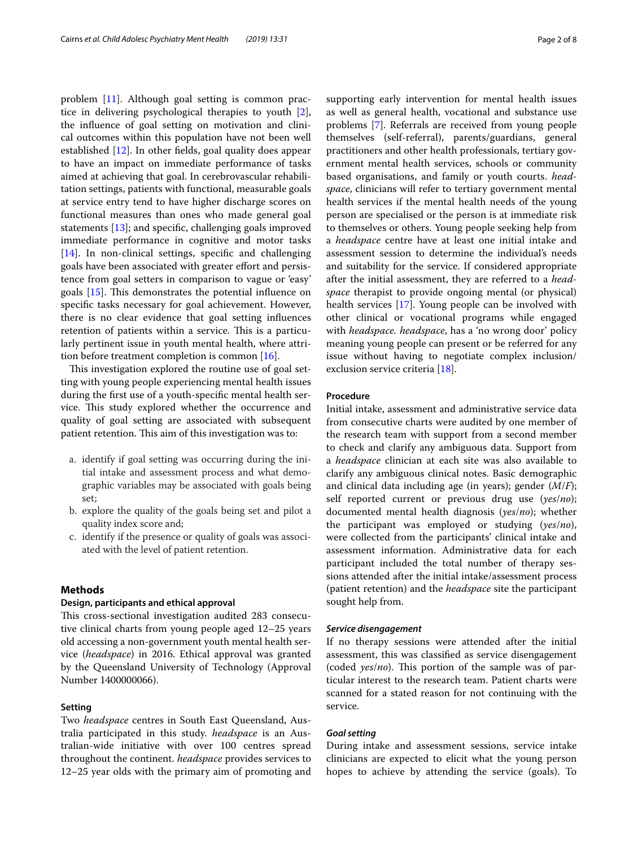problem [\[11\]](#page-7-4). Although goal setting is common practice in delivering psychological therapies to youth [\[2](#page-6-1)], the infuence of goal setting on motivation and clinical outcomes within this population have not been well established [\[12](#page-7-5)]. In other felds, goal quality does appear to have an impact on immediate performance of tasks aimed at achieving that goal. In cerebrovascular rehabilitation settings, patients with functional, measurable goals at service entry tend to have higher discharge scores on functional measures than ones who made general goal statements [[13\]](#page-7-6); and specifc, challenging goals improved immediate performance in cognitive and motor tasks [[14\]](#page-7-7). In non-clinical settings, specific and challenging goals have been associated with greater effort and persistence from goal setters in comparison to vague or 'easy' goals  $[15]$ . This demonstrates the potential influence on specifc tasks necessary for goal achievement. However, there is no clear evidence that goal setting infuences retention of patients within a service. This is a particularly pertinent issue in youth mental health, where attrition before treatment completion is common [\[16\]](#page-7-9).

This investigation explored the routine use of goal setting with young people experiencing mental health issues during the frst use of a youth-specifc mental health service. This study explored whether the occurrence and quality of goal setting are associated with subsequent patient retention. This aim of this investigation was to:

- a. identify if goal setting was occurring during the initial intake and assessment process and what demographic variables may be associated with goals being set;
- b. explore the quality of the goals being set and pilot a quality index score and;
- c. identify if the presence or quality of goals was associated with the level of patient retention.

## **Methods**

## **Design, participants and ethical approval**

This cross-sectional investigation audited 283 consecutive clinical charts from young people aged 12–25 years old accessing a non-government youth mental health service (*headspace*) in 2016. Ethical approval was granted by the Queensland University of Technology (Approval Number 1400000066).

## **Setting**

Two *headspace* centres in South East Queensland, Australia participated in this study. *headspace* is an Australian-wide initiative with over 100 centres spread throughout the continent. *headspace* provides services to 12–25 year olds with the primary aim of promoting and

supporting early intervention for mental health issues as well as general health, vocational and substance use problems [[7\]](#page-7-1). Referrals are received from young people themselves (self-referral), parents/guardians, general practitioners and other health professionals, tertiary government mental health services, schools or community based organisations, and family or youth courts. *headspace*, clinicians will refer to tertiary government mental health services if the mental health needs of the young person are specialised or the person is at immediate risk to themselves or others. Young people seeking help from a *headspace* centre have at least one initial intake and assessment session to determine the individual's needs and suitability for the service. If considered appropriate after the initial assessment, they are referred to a *headspace* therapist to provide ongoing mental (or physical) health services [[17](#page-7-10)]. Young people can be involved with other clinical or vocational programs while engaged with *headspace. headspace*, has a 'no wrong door' policy meaning young people can present or be referred for any issue without having to negotiate complex inclusion/ exclusion service criteria [\[18](#page-7-11)].

## **Procedure**

Initial intake, assessment and administrative service data from consecutive charts were audited by one member of the research team with support from a second member to check and clarify any ambiguous data. Support from a *headspace* clinician at each site was also available to clarify any ambiguous clinical notes. Basic demographic and clinical data including age (in years); gender (*M*/*F*); self reported current or previous drug use (*yes*/*no*); documented mental health diagnosis (*yes*/*no*); whether the participant was employed or studying (*yes*/*no*), were collected from the participants' clinical intake and assessment information. Administrative data for each participant included the total number of therapy sessions attended after the initial intake/assessment process (patient retention) and the *headspace* site the participant sought help from.

## *Service disengagement*

If no therapy sessions were attended after the initial assessment, this was classifed as service disengagement (coded *yes*/*no*). This portion of the sample was of particular interest to the research team. Patient charts were scanned for a stated reason for not continuing with the service.

## *Goal setting*

During intake and assessment sessions, service intake clinicians are expected to elicit what the young person hopes to achieve by attending the service (goals). To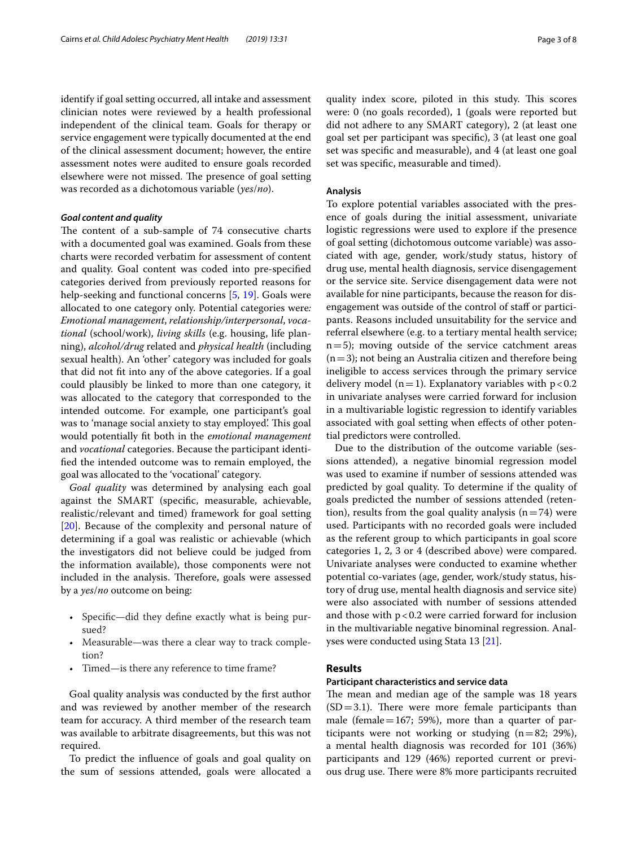identify if goal setting occurred, all intake and assessment clinician notes were reviewed by a health professional independent of the clinical team. Goals for therapy or service engagement were typically documented at the end of the clinical assessment document; however, the entire assessment notes were audited to ensure goals recorded elsewhere were not missed. The presence of goal setting was recorded as a dichotomous variable (*yes*/*no*).

## *Goal content and quality*

The content of a sub-sample of 74 consecutive charts with a documented goal was examined. Goals from these charts were recorded verbatim for assessment of content and quality. Goal content was coded into pre-specifed categories derived from previously reported reasons for help-seeking and functional concerns [[5,](#page-7-12) [19\]](#page-7-13). Goals were allocated to one category only. Potential categories were*: Emotional management*, *relationship/interpersonal*, *vocational* (school/work), *living skills* (e.g. housing, life planning), *alcohol/drug* related and *physical health* (including sexual health). An 'other' category was included for goals that did not ft into any of the above categories. If a goal could plausibly be linked to more than one category, it was allocated to the category that corresponded to the intended outcome. For example, one participant's goal was to 'manage social anxiety to stay employed'. This goal would potentially ft both in the *emotional management* and *vocational* categories. Because the participant identifed the intended outcome was to remain employed, the goal was allocated to the 'vocational' category.

*Goal quality* was determined by analysing each goal against the SMART (specifc, measurable, achievable, realistic/relevant and timed) framework for goal setting [[20\]](#page-7-14). Because of the complexity and personal nature of determining if a goal was realistic or achievable (which the investigators did not believe could be judged from the information available), those components were not included in the analysis. Therefore, goals were assessed by a *yes*/*no* outcome on being:

- Specifc—did they defne exactly what is being pursued?
- Measurable—was there a clear way to track completion?
- Timed—is there any reference to time frame?

Goal quality analysis was conducted by the frst author and was reviewed by another member of the research team for accuracy. A third member of the research team was available to arbitrate disagreements, but this was not required.

To predict the infuence of goals and goal quality on the sum of sessions attended, goals were allocated a quality index score, piloted in this study. This scores were: 0 (no goals recorded), 1 (goals were reported but did not adhere to any SMART category), 2 (at least one goal set per participant was specifc), 3 (at least one goal set was specifc and measurable), and 4 (at least one goal set was specifc, measurable and timed).

## **Analysis**

To explore potential variables associated with the presence of goals during the initial assessment, univariate logistic regressions were used to explore if the presence of goal setting (dichotomous outcome variable) was associated with age, gender, work/study status, history of drug use, mental health diagnosis, service disengagement or the service site. Service disengagement data were not available for nine participants, because the reason for disengagement was outside of the control of staff or participants. Reasons included unsuitability for the service and referral elsewhere (e.g. to a tertiary mental health service;  $n=5$ ; moving outside of the service catchment areas  $(n=3)$ ; not being an Australia citizen and therefore being ineligible to access services through the primary service delivery model ( $n=1$ ). Explanatory variables with  $p < 0.2$ in univariate analyses were carried forward for inclusion in a multivariable logistic regression to identify variables associated with goal setting when efects of other potential predictors were controlled.

Due to the distribution of the outcome variable (sessions attended), a negative binomial regression model was used to examine if number of sessions attended was predicted by goal quality. To determine if the quality of goals predicted the number of sessions attended (retention), results from the goal quality analysis  $(n=74)$  were used. Participants with no recorded goals were included as the referent group to which participants in goal score categories 1, 2, 3 or 4 (described above) were compared. Univariate analyses were conducted to examine whether potential co-variates (age, gender, work/study status, history of drug use, mental health diagnosis and service site) were also associated with number of sessions attended and those with  $p < 0.2$  were carried forward for inclusion in the multivariable negative binominal regression. Analyses were conducted using Stata 13 [\[21](#page-7-15)].

## **Results**

## **Participant characteristics and service data**

The mean and median age of the sample was 18 years  $(SD = 3.1)$ . There were more female participants than male (female  $=167$ ; 59%), more than a quarter of participants were not working or studying  $(n=82; 29\%)$ , a mental health diagnosis was recorded for 101 (36%) participants and 129 (46%) reported current or previous drug use. There were 8% more participants recruited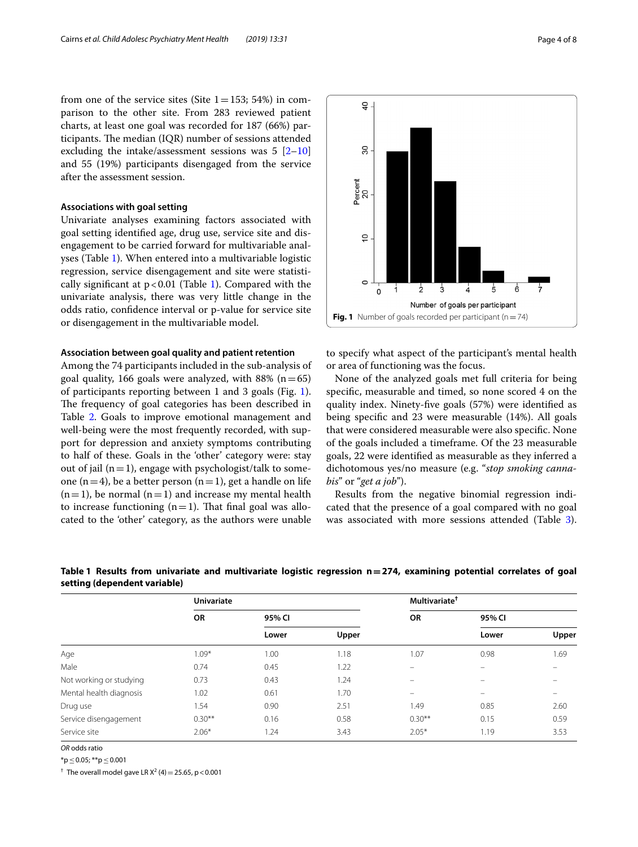from one of the service sites (Site  $1=153$ ; 54%) in comparison to the other site. From 283 reviewed patient charts, at least one goal was recorded for 187 (66%) participants. The median (IQR) number of sessions attended excluding the intake/assessment sessions was  $5 \; [2-10]$  $5 \; [2-10]$  $5 \; [2-10]$ and 55 (19%) participants disengaged from the service after the assessment session.

## **Associations with goal setting**

Univariate analyses examining factors associated with goal setting identifed age, drug use, service site and disengagement to be carried forward for multivariable analyses (Table [1](#page-3-0)). When entered into a multivariable logistic regression, service disengagement and site were statistically significant at  $p < 0.01$  $p < 0.01$  (Table 1). Compared with the univariate analysis, there was very little change in the odds ratio, confdence interval or p-value for service site or disengagement in the multivariable model.

## **Association between goal quality and patient retention**

Among the 74 participants included in the sub-analysis of goal quality, 166 goals were analyzed, with 88%  $(n=65)$ of participants reporting between 1 and 3 goals (Fig. [1](#page-3-1)). The frequency of goal categories has been described in Table [2.](#page-4-0) Goals to improve emotional management and well-being were the most frequently recorded, with support for depression and anxiety symptoms contributing to half of these. Goals in the 'other' category were: stay out of jail  $(n=1)$ , engage with psychologist/talk to someone  $(n=4)$ , be a better person  $(n=1)$ , get a handle on life  $(n=1)$ , be normal  $(n=1)$  and increase my mental health to increase functioning  $(n=1)$ . That final goal was allocated to the 'other' category, as the authors were unable

<span id="page-3-1"></span>

None of the analyzed goals met full criteria for being specifc, measurable and timed, so none scored 4 on the quality index. Ninety-fve goals (57%) were identifed as being specifc and 23 were measurable (14%). All goals that were considered measurable were also specifc. None of the goals included a timeframe. Of the 23 measurable goals, 22 were identifed as measurable as they inferred a dichotomous yes/no measure (e.g. "*stop smoking cannabis*" or "*get a job*").

Results from the negative binomial regression indicated that the presence of a goal compared with no goal was associated with more sessions attended (Table [3](#page-4-1)).

|                         | <b>Univariate</b> |        |       | Multivariate <sup>†</sup> |          |                          |
|-------------------------|-------------------|--------|-------|---------------------------|----------|--------------------------|
|                         | <b>OR</b>         | 95% CI |       | <b>OR</b>                 | 95% CI   |                          |
|                         |                   | Lower  | Upper |                           | Lower    | Upper                    |
| Age                     | $1.09*$           | 1.00   | 1.18  | 1.07                      | 0.98     | 1.69                     |
| Male                    | 0.74              | 0.45   | 1.22  | $\overline{\phantom{0}}$  | -        | $\overline{\phantom{0}}$ |
| Not working or studying | 0.73              | 0.43   | 1.24  | $\overline{\phantom{0}}$  | $\equiv$ |                          |
| Mental health diagnosis | 1.02              | 0.61   | 1.70  | $\overline{\phantom{0}}$  | -        |                          |
| Drug use                | 1.54              | 0.90   | 2.51  | 1.49                      | 0.85     | 2.60                     |
| Service disengagement   | $0.30**$          | 0.16   | 0.58  | $0.30**$                  | 0.15     | 0.59                     |
| Service site            | $2.06*$           | 1.24   | 3.43  | $2.05*$                   | 1.19     | 3.53                     |

<span id="page-3-0"></span>**Table 1 Results from univariate and multivariate logistic regression n=274, examining potential correlates of goal setting (dependent variable)**

*OR* odds ratio

\*p≤0.05; \*\*p≤0.001

<sup>†</sup> The overall model gave LR  $X^2$  (4) = 25.65, p < 0.001

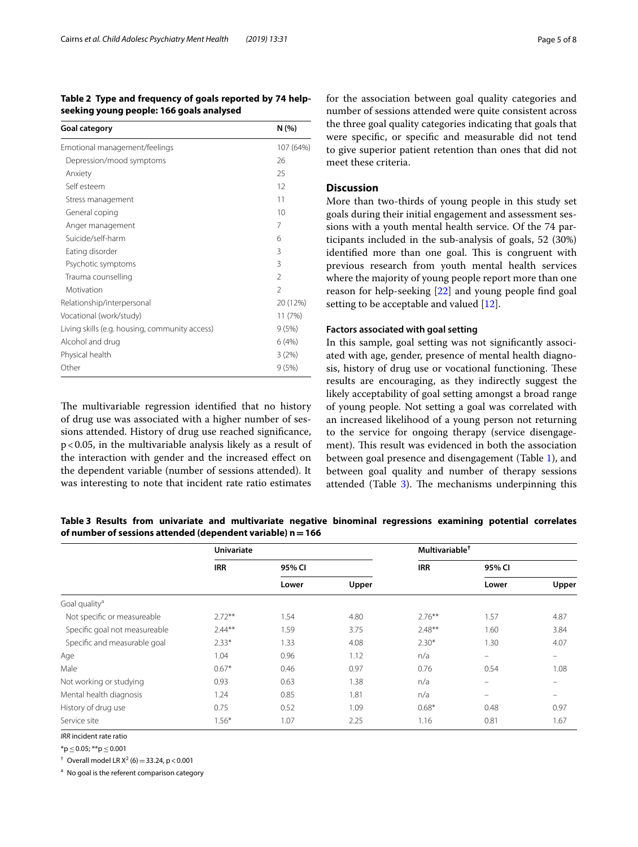<span id="page-4-0"></span>**Table 2 Type and frequency of goals reported by 74 helpseeking young people: 166 goals analysed**

| Goal category                                  | N(% )          |  |
|------------------------------------------------|----------------|--|
| Emotional management/feelings                  | 107 (64%)      |  |
| Depression/mood symptoms                       | 26             |  |
| Anxiety                                        | 25             |  |
| Self esteem                                    | 12             |  |
| Stress management                              | 11             |  |
| General coping                                 | 10             |  |
| Anger management                               | 7              |  |
| Suicide/self-harm                              | 6              |  |
| Eating disorder                                | 3              |  |
| Psychotic symptoms                             | 3              |  |
| Trauma counselling                             | $\mathfrak{D}$ |  |
| Motivation                                     | $\mathfrak{D}$ |  |
| Relationship/interpersonal                     | 20 (12%)       |  |
| Vocational (work/study)                        | 11 (7%)        |  |
| Living skills (e.g. housing, community access) | 9(5%)          |  |
| Alcohol and drug                               | 6 (4%)         |  |
| Physical health                                | 3(2%)          |  |
| Other                                          | 9(5%)          |  |

The multivariable regression identified that no history of drug use was associated with a higher number of sessions attended. History of drug use reached signifcance, p<0.05, in the multivariable analysis likely as a result of the interaction with gender and the increased efect on the dependent variable (number of sessions attended). It was interesting to note that incident rate ratio estimates for the association between goal quality categories and number of sessions attended were quite consistent across the three goal quality categories indicating that goals that were specifc, or specifc and measurable did not tend to give superior patient retention than ones that did not meet these criteria.

## **Discussion**

More than two-thirds of young people in this study set goals during their initial engagement and assessment sessions with a youth mental health service. Of the 74 participants included in the sub-analysis of goals, 52 (30%) identified more than one goal. This is congruent with previous research from youth mental health services where the majority of young people report more than one reason for help-seeking [[22](#page-7-16)] and young people fnd goal setting to be acceptable and valued [\[12](#page-7-5)].

## **Factors associated with goal setting**

In this sample, goal setting was not signifcantly associated with age, gender, presence of mental health diagnosis, history of drug use or vocational functioning. These results are encouraging, as they indirectly suggest the likely acceptability of goal setting amongst a broad range of young people. Not setting a goal was correlated with an increased likelihood of a young person not returning to the service for ongoing therapy (service disengagement). This result was evidenced in both the association between goal presence and disengagement (Table [1](#page-3-0)), and between goal quality and number of therapy sessions attended (Table [3](#page-4-1)). The mechanisms underpinning this

<span id="page-4-1"></span>**Table 3 Results from univariate and multivariate negative binominal regressions examining potential correlates of number of sessions attended (dependent variable) n=166**

|                               | <b>Univariate</b> |        |       | Multivariable <sup>†</sup> |          |       |
|-------------------------------|-------------------|--------|-------|----------------------------|----------|-------|
|                               | <b>IRR</b>        | 95% CI |       | <b>IRR</b>                 | 95% CI   |       |
|                               |                   | Lower  | Upper |                            | Lower    | Upper |
| Goal quality <sup>a</sup>     |                   |        |       |                            |          |       |
| Not specific or measureable   | $2.72***$         | 1.54   | 4.80  | $2.76***$                  | 1.57     | 4.87  |
| Specific goal not measureable | $2.44***$         | 1.59   | 3.75  | $2.48***$                  | 1.60     | 3.84  |
| Specific and measurable goal  | $2.33*$           | 1.33   | 4.08  | $2.30*$                    | 1.30     | 4.07  |
| Age                           | 1.04              | 0.96   | 1.12  | n/a                        |          |       |
| Male                          | $0.67*$           | 0.46   | 0.97  | 0.76                       | 0.54     | 1.08  |
| Not working or studying       | 0.93              | 0.63   | 1.38  | n/a                        | $\equiv$ | -     |
| Mental health diagnosis       | 1.24              | 0.85   | 1.81  | n/a                        |          |       |
| History of drug use           | 0.75              | 0.52   | 1.09  | $0.68*$                    | 0.48     | 0.97  |
| Service site                  | $1.56*$           | 1.07   | 2.25  | 1.16                       | 0.81     | 1.67  |

*IRR* incident rate ratio

\*p≤0.05; \*\*p≤0.001

<sup>†</sup> Overall model LR  $X^2$  (6) = 33.24, p < 0.001

<sup>a</sup> No goal is the referent comparison category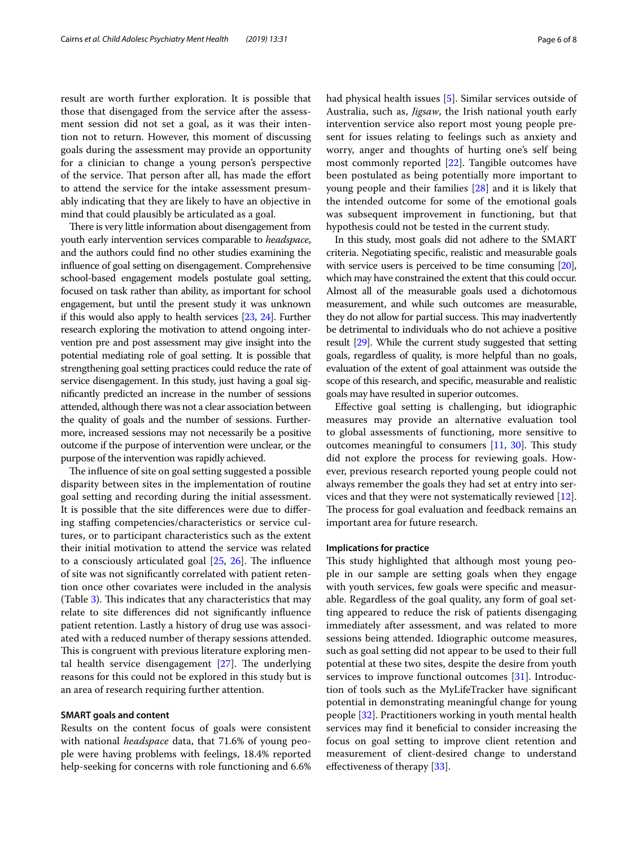result are worth further exploration. It is possible that those that disengaged from the service after the assessment session did not set a goal, as it was their intention not to return. However, this moment of discussing goals during the assessment may provide an opportunity for a clinician to change a young person's perspective of the service. That person after all, has made the effort to attend the service for the intake assessment presumably indicating that they are likely to have an objective in mind that could plausibly be articulated as a goal.

There is very little information about disengagement from youth early intervention services comparable to *headspace*, and the authors could fnd no other studies examining the infuence of goal setting on disengagement. Comprehensive school-based engagement models postulate goal setting, focused on task rather than ability, as important for school engagement, but until the present study it was unknown if this would also apply to health services [\[23,](#page-7-17) [24\]](#page-7-18). Further research exploring the motivation to attend ongoing intervention pre and post assessment may give insight into the potential mediating role of goal setting. It is possible that strengthening goal setting practices could reduce the rate of service disengagement. In this study, just having a goal signifcantly predicted an increase in the number of sessions attended, although there was not a clear association between the quality of goals and the number of sessions. Furthermore, increased sessions may not necessarily be a positive outcome if the purpose of intervention were unclear, or the purpose of the intervention was rapidly achieved.

The influence of site on goal setting suggested a possible disparity between sites in the implementation of routine goal setting and recording during the initial assessment. It is possible that the site diferences were due to difering staffing competencies/characteristics or service cultures, or to participant characteristics such as the extent their initial motivation to attend the service was related to a consciously articulated goal  $[25, 26]$  $[25, 26]$  $[25, 26]$ . The influence of site was not signifcantly correlated with patient retention once other covariates were included in the analysis (Table  $3$ ). This indicates that any characteristics that may relate to site diferences did not signifcantly infuence patient retention. Lastly a history of drug use was associated with a reduced number of therapy sessions attended. This is congruent with previous literature exploring mental health service disengagement  $[27]$  $[27]$ . The underlying reasons for this could not be explored in this study but is an area of research requiring further attention.

## **SMART goals and content**

Results on the content focus of goals were consistent with national *headspace* data, that 71.6% of young people were having problems with feelings, 18.4% reported help-seeking for concerns with role functioning and 6.6% had physical health issues [\[5\]](#page-7-12). Similar services outside of Australia, such as, *Jigsaw*, the Irish national youth early intervention service also report most young people present for issues relating to feelings such as anxiety and worry, anger and thoughts of hurting one's self being most commonly reported [[22\]](#page-7-16). Tangible outcomes have been postulated as being potentially more important to young people and their families [[28](#page-7-22)] and it is likely that the intended outcome for some of the emotional goals was subsequent improvement in functioning, but that hypothesis could not be tested in the current study.

In this study, most goals did not adhere to the SMART criteria. Negotiating specifc, realistic and measurable goals with service users is perceived to be time consuming [\[20](#page-7-14)], which may have constrained the extent that this could occur. Almost all of the measurable goals used a dichotomous measurement, and while such outcomes are measurable, they do not allow for partial success. This may inadvertently be detrimental to individuals who do not achieve a positive result [\[29\]](#page-7-23). While the current study suggested that setting goals, regardless of quality, is more helpful than no goals, evaluation of the extent of goal attainment was outside the scope of this research, and specifc, measurable and realistic goals may have resulted in superior outcomes.

Efective goal setting is challenging, but idiographic measures may provide an alternative evaluation tool to global assessments of functioning, more sensitive to outcomes meaningful to consumers  $[11, 30]$  $[11, 30]$  $[11, 30]$ . This study did not explore the process for reviewing goals. However, previous research reported young people could not always remember the goals they had set at entry into services and that they were not systematically reviewed [\[12](#page-7-5)]. The process for goal evaluation and feedback remains an important area for future research.

## **Implications for practice**

This study highlighted that although most young people in our sample are setting goals when they engage with youth services, few goals were specifc and measurable. Regardless of the goal quality, any form of goal setting appeared to reduce the risk of patients disengaging immediately after assessment, and was related to more sessions being attended. Idiographic outcome measures, such as goal setting did not appear to be used to their full potential at these two sites, despite the desire from youth services to improve functional outcomes [[31](#page-7-25)]. Introduction of tools such as the MyLifeTracker have signifcant potential in demonstrating meaningful change for young people [[32](#page-7-26)]. Practitioners working in youth mental health services may fnd it benefcial to consider increasing the focus on goal setting to improve client retention and measurement of client-desired change to understand efectiveness of therapy [\[33](#page-7-27)].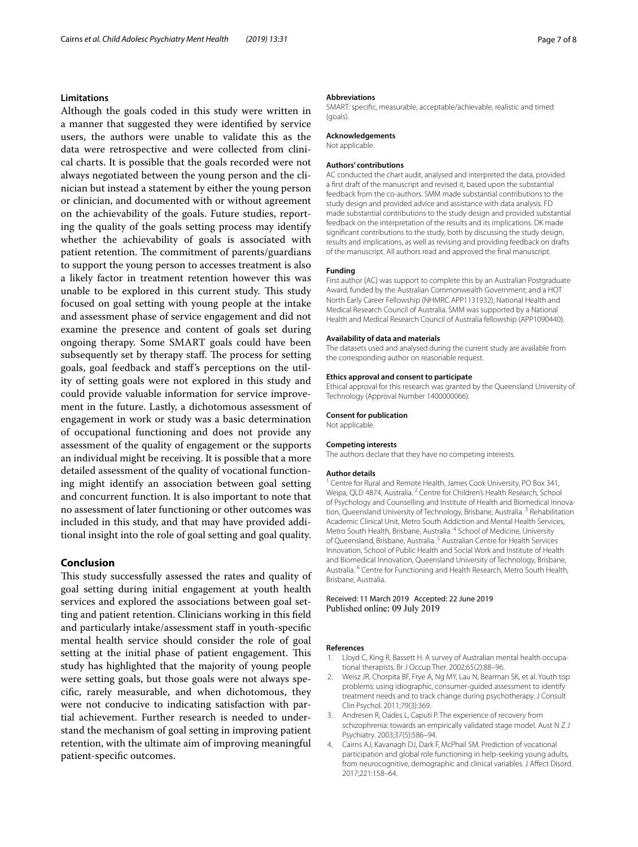## **Limitations**

Although the goals coded in this study were written in a manner that suggested they were identifed by service users, the authors were unable to validate this as the data were retrospective and were collected from clinical charts. It is possible that the goals recorded were not always negotiated between the young person and the clinician but instead a statement by either the young person or clinician, and documented with or without agreement on the achievability of the goals. Future studies, reporting the quality of the goals setting process may identify whether the achievability of goals is associated with patient retention. The commitment of parents/guardians to support the young person to accesses treatment is also a likely factor in treatment retention however this was unable to be explored in this current study. This study focused on goal setting with young people at the intake and assessment phase of service engagement and did not examine the presence and content of goals set during ongoing therapy. Some SMART goals could have been subsequently set by therapy staff. The process for setting goals, goal feedback and staf's perceptions on the utility of setting goals were not explored in this study and could provide valuable information for service improvement in the future. Lastly, a dichotomous assessment of engagement in work or study was a basic determination of occupational functioning and does not provide any assessment of the quality of engagement or the supports an individual might be receiving. It is possible that a more detailed assessment of the quality of vocational functioning might identify an association between goal setting and concurrent function. It is also important to note that no assessment of later functioning or other outcomes was included in this study, and that may have provided additional insight into the role of goal setting and goal quality.

## **Conclusion**

This study successfully assessed the rates and quality of goal setting during initial engagement at youth health services and explored the associations between goal setting and patient retention. Clinicians working in this feld and particularly intake/assessment staff in youth-specific mental health service should consider the role of goal setting at the initial phase of patient engagement. This study has highlighted that the majority of young people were setting goals, but those goals were not always specifc, rarely measurable, and when dichotomous, they were not conducive to indicating satisfaction with partial achievement. Further research is needed to understand the mechanism of goal setting in improving patient retention, with the ultimate aim of improving meaningful patient-specifc outcomes.

#### **Abbreviations**

SMART: specifc, measurable, acceptable/achievable, realistic and timed (goals).

#### **Acknowledgements**

Not applicable.

#### **Authors' contributions**

AC conducted the chart audit, analysed and interpreted the data, provided a frst draft of the manuscript and revised it, based upon the substantial feedback from the co-authors. SMM made substantial contributions to the study design and provided advice and assistance with data analysis. FD made substantial contributions to the study design and provided substantial feedback on the interpretation of the results and its implications. DK made signifcant contributions to the study, both by discussing the study design, results and implications, as well as revising and providing feedback on drafts of the manuscript. All authors read and approved the fnal manuscript.

#### **Funding**

First author (AC) was support to complete this by an Australian Postgraduate Award, funded by the Australian Commonwealth Government; and a HOT North Early Career Fellowship (NHMRC APP1131932), National Health and Medical Research Council of Australia. SMM was supported by a National Health and Medical Research Council of Australia fellowship (APP1090440).

#### **Availability of data and materials**

The datasets used and analysed during the current study are available from the corresponding author on reasonable request.

#### **Ethics approval and consent to participate**

Ethical approval for this research was granted by the Queensland University of Technology (Approval Number 1400000066).

#### **Consent for publication**

Not applicable.

#### **Competing interests**

The authors declare that they have no competing interests.

#### **Author details**

<sup>1</sup> Centre for Rural and Remote Health, James Cook University, PO Box 341, Weipa, QLD 4874, Australia.<sup>2</sup> Centre for Children's Health Research, School of Psychology and Counselling and Institute of Health and Biomedical Innovation, Queensland University of Technology, Brisbane, Australia.<sup>3</sup> Rehabilitation Academic Clinical Unit, Metro South Addiction and Mental Health Services, Metro South Health, Brisbane, Australia. 4 School of Medicine, University of Queensland, Brisbane, Australia. 5 Australian Centre for Health Services Innovation, School of Public Health and Social Work and Institute of Health and Biomedical Innovation, Queensland University of Technology, Brisbane, Australia. 6 Centre for Functioning and Health Research, Metro South Health, Brisbane, Australia.

#### Received: 11 March 2019 Accepted: 22 June 2019 Published online: 09 July 2019

## **References**

- <span id="page-6-0"></span>1. Lloyd C, King R, Bassett H. A survey of Australian mental health occupational therapists. Br J Occup Ther. 2002;65(2):88–96.
- <span id="page-6-1"></span>2. Weisz JR, Chorpita BF, Frye A, Ng MY, Lau N, Bearman SK, et al. Youth top problems: using idiographic, consumer-guided assessment to identify treatment needs and to track change during psychotherapy. J Consult Clin Psychol. 2011;79(3):369.
- <span id="page-6-2"></span>3. Andresen R, Oades L, Caputi P. The experience of recovery from schizophrenia: towards an empirically validated stage model. Aust N Z J Psychiatry. 2003;37(5):586–94.
- <span id="page-6-3"></span>4. Cairns AJ, Kavanagh DJ, Dark F, McPhail SM. Prediction of vocational participation and global role functioning in help-seeking young adults, from neurocognitive, demographic and clinical variables. J Afect Disord. 2017;221:158–64.